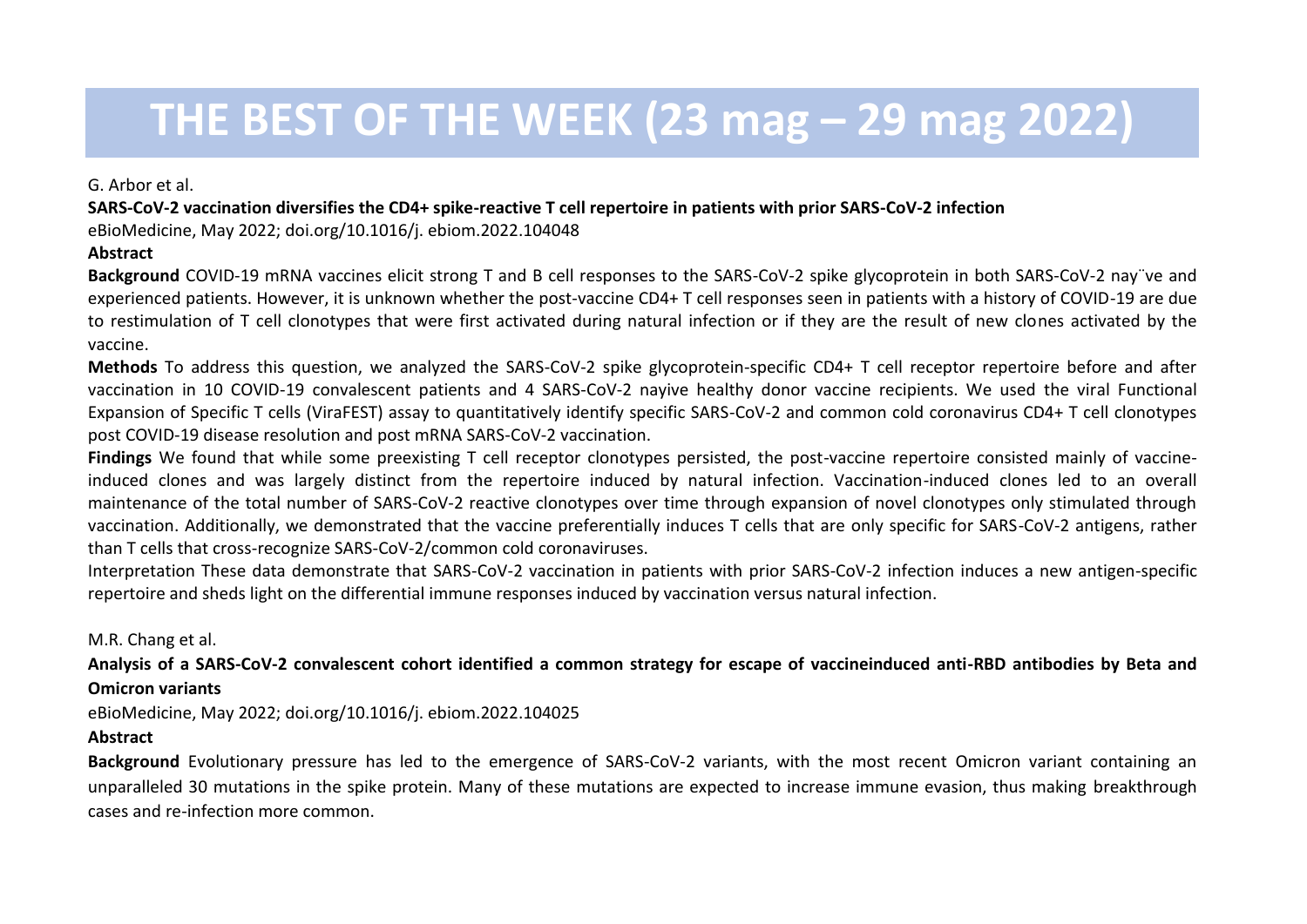# **THE BEST OF THE WEEK (23 mag – 29 mag 2022)**

G. Arbor et al.

**SARS-CoV-2 vaccination diversifies the CD4+ spike-reactive T cell repertoire in patients with prior SARS-CoV-2 infection**

eBioMedicine, May 2022; doi.org/10.1016/j. ebiom.2022.104048

# **Abstract**

**Background** COVID-19 mRNA vaccines elicit strong T and B cell responses to the SARS-CoV-2 spike glycoprotein in both SARS-CoV-2 nay¨ve and experienced patients. However, it is unknown whether the post-vaccine CD4+ T cell responses seen in patients with a history of COVID-19 are due to restimulation of T cell clonotypes that were first activated during natural infection or if they are the result of new clones activated by the vaccine.

**Methods** To address this question, we analyzed the SARS-CoV-2 spike glycoprotein-specific CD4+ T cell receptor repertoire before and after vaccination in 10 COVID-19 convalescent patients and 4 SARS-CoV-2 nayive healthy donor vaccine recipients. We used the viral Functional Expansion of Specific T cells (ViraFEST) assay to quantitatively identify specific SARS-CoV-2 and common cold coronavirus CD4+ T cell clonotypes post COVID-19 disease resolution and post mRNA SARS-CoV-2 vaccination.

**Findings** We found that while some preexisting T cell receptor clonotypes persisted, the post-vaccine repertoire consisted mainly of vaccineinduced clones and was largely distinct from the repertoire induced by natural infection. Vaccination-induced clones led to an overall maintenance of the total number of SARS-CoV-2 reactive clonotypes over time through expansion of novel clonotypes only stimulated through vaccination. Additionally, we demonstrated that the vaccine preferentially induces T cells that are only specific for SARS-CoV-2 antigens, rather than T cells that cross-recognize SARS-CoV-2/common cold coronaviruses.

Interpretation These data demonstrate that SARS-CoV-2 vaccination in patients with prior SARS-CoV-2 infection induces a new antigen-specific repertoire and sheds light on the differential immune responses induced by vaccination versus natural infection.

M.R. Chang et al.

**Analysis of a SARS-CoV-2 convalescent cohort identified a common strategy for escape of vaccineinduced anti-RBD antibodies by Beta and Omicron variants**

eBioMedicine, May 2022; doi.org/10.1016/j. ebiom.2022.104025

## **Abstract**

**Background** Evolutionary pressure has led to the emergence of SARS-CoV-2 variants, with the most recent Omicron variant containing an unparalleled 30 mutations in the spike protein. Many of these mutations are expected to increase immune evasion, thus making breakthrough cases and re-infection more common.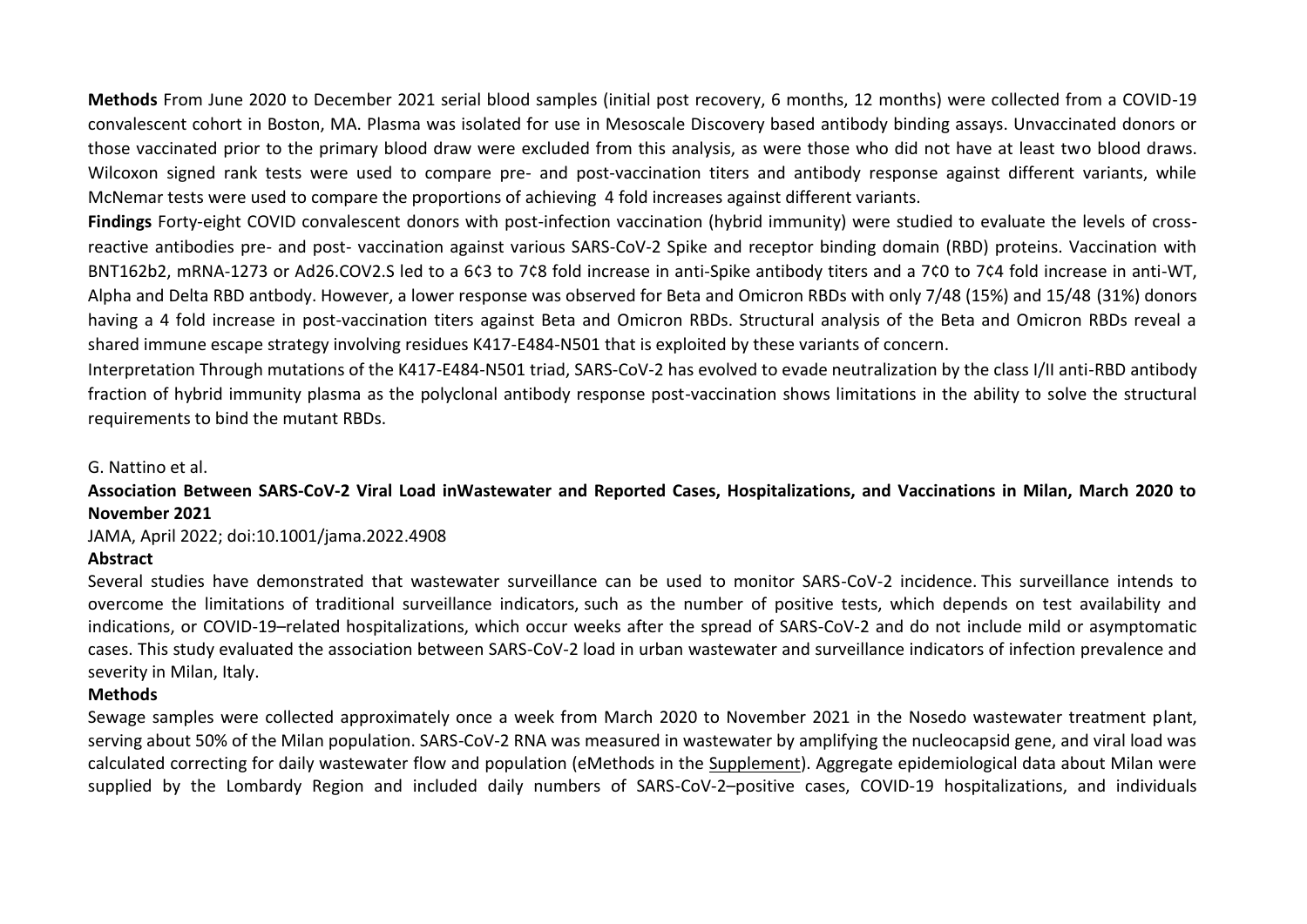**Methods** From June 2020 to December 2021 serial blood samples (initial post recovery, 6 months, 12 months) were collected from a COVID-19 convalescent cohort in Boston, MA. Plasma was isolated for use in Mesoscale Discovery based antibody binding assays. Unvaccinated donors or those vaccinated prior to the primary blood draw were excluded from this analysis, as were those who did not have at least two blood draws. Wilcoxon signed rank tests were used to compare pre- and post-vaccination titers and antibody response against different variants, while McNemar tests were used to compare the proportions of achieving 4 fold increases against different variants.

**Findings** Forty-eight COVID convalescent donors with post-infection vaccination (hybrid immunity) were studied to evaluate the levels of crossreactive antibodies pre- and post- vaccination against various SARS-CoV-2 Spike and receptor binding domain (RBD) proteins. Vaccination with BNT162b2, mRNA-1273 or Ad26.COV2.S led to a 6¢3 to 7¢8 fold increase in anti-Spike antibody titers and a 7¢0 to 7¢4 fold increase in anti-WT, Alpha and Delta RBD antbody. However, a lower response was observed for Beta and Omicron RBDs with only 7/48 (15%) and 15/48 (31%) donors having a 4 fold increase in post-vaccination titers against Beta and Omicron RBDs. Structural analysis of the Beta and Omicron RBDs reveal a shared immune escape strategy involving residues K417-E484-N501 that is exploited by these variants of concern.

Interpretation Through mutations of the K417-E484-N501 triad, SARS-CoV-2 has evolved to evade neutralization by the class I/II anti-RBD antibody fraction of hybrid immunity plasma as the polyclonal antibody response post-vaccination shows limitations in the ability to solve the structural requirements to bind the mutant RBDs.

G. Nattino et al.

### **Association Between SARS-CoV-2 Viral Load inWastewater and Reported Cases, Hospitalizations, and Vaccinations in Milan, March 2020 to November 2021**

JAMA, April 2022; doi:10.1001/jama.2022.4908

### **Abstract**

Several studies have demonstrated that wastewater surveillance can be used to monitor SARS-CoV-2 incidence. This surveillance intends to overcome the limitations of traditional surveillance indicators, such as the number of positive tests, which depends on test availability and indications, or COVID-19–related hospitalizations, which occur weeks after the spread of SARS-CoV-2 and do not include mild or asymptomatic cases. This study evaluated the association between SARS-CoV-2 load in urban wastewater and surveillance indicators of infection prevalence and severity in Milan, Italy.

### **Methods**

Sewage samples were collected approximately once a week from March 2020 to November 2021 in the Nosedo wastewater treatment plant, serving about 50% of the Milan population. SARS-CoV-2 RNA was measured in wastewater by amplifying the nucleocapsid gene, and viral load was calculated correcting for daily wastewater flow and population (eMethods in the [Supplement\)](https://jamanetwork.com/journals/jama/fullarticle/2790911#note-JLD220021-1). Aggregate epidemiological data about Milan were supplied by the Lombardy Region and included daily numbers of SARS-CoV-2–positive cases, COVID-19 hospitalizations, and individuals